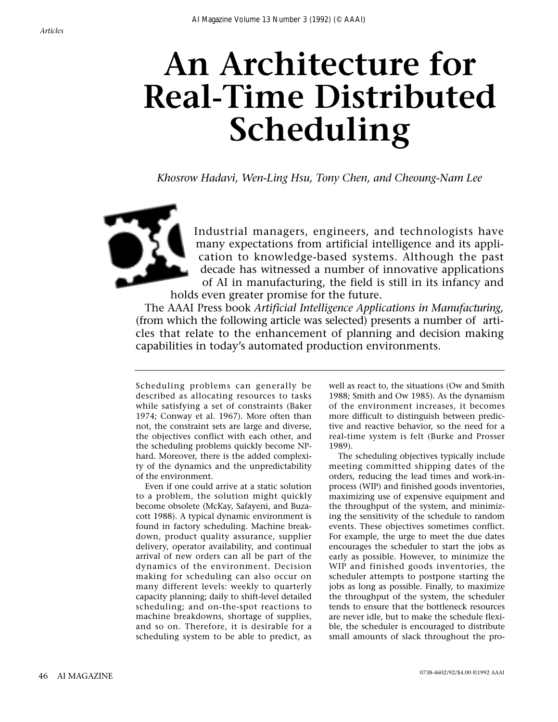# **An Architecture for Real-Time Distributed Scheduling**

*Khosrow Hadavi, Wen-Ling Hsu, Tony Chen, and Cheoung-Nam Lee*



Industrial managers, engineers, and technologists have many expectations from artificial intelligence and its application to knowledge-based systems. Although the past decade has witnessed a number of innovative applications of AI in manufacturing, the field is still in its infancy and

holds even greater promise for the future. The AAAI Press book *Artificial Intelligence Applications in Manufacturing,* (from which the following article was selected) presents a number of articles that relate to the enhancement of planning and decision making

capabilities in today's automated production environments.

Scheduling problems can generally be described as allocating resources to tasks while satisfying a set of constraints (Baker 1974; Conway et al. 1967). More often than not, the constraint sets are large and diverse, the objectives conflict with each other, and the scheduling problems quickly become NPhard. Moreover, there is the added complexity of the dynamics and the unpredictability of the environment.

Even if one could arrive at a static solution to a problem, the solution might quickly become obsolete (McKay, Safayeni, and Buzacott 1988). A typical dynamic environment is found in factory scheduling. Machine breakdown, product quality assurance, supplier delivery, operator availability, and continual arrival of new orders can all be part of the dynamics of the environment. Decision making for scheduling can also occur on many different levels: weekly to quarterly capacity planning; daily to shift-level detailed scheduling; and on-the-spot reactions to machine breakdowns, shortage of supplies, and so on. Therefore, it is desirable for a scheduling system to be able to predict, as

well as react to, the situations (Ow and Smith 1988; Smith and Ow 1985). As the dynamism of the environment increases, it becomes more difficult to distinguish between predictive and reactive behavior, so the need for a real-time system is felt (Burke and Prosser 1989).

The scheduling objectives typically include meeting committed shipping dates of the orders, reducing the lead times and work-inprocess (WIP) and finished goods inventories, maximizing use of expensive equipment and the throughput of the system, and minimizing the sensitivity of the schedule to random events. These objectives sometimes conflict. For example, the urge to meet the due dates encourages the scheduler to start the jobs as early as possible. However, to minimize the WIP and finished goods inventories, the scheduler attempts to postpone starting the jobs as long as possible. Finally, to maximize the throughput of the system, the scheduler tends to ensure that the bottleneck resources are never idle, but to make the schedule flexible, the scheduler is encouraged to distribute small amounts of slack throughout the pro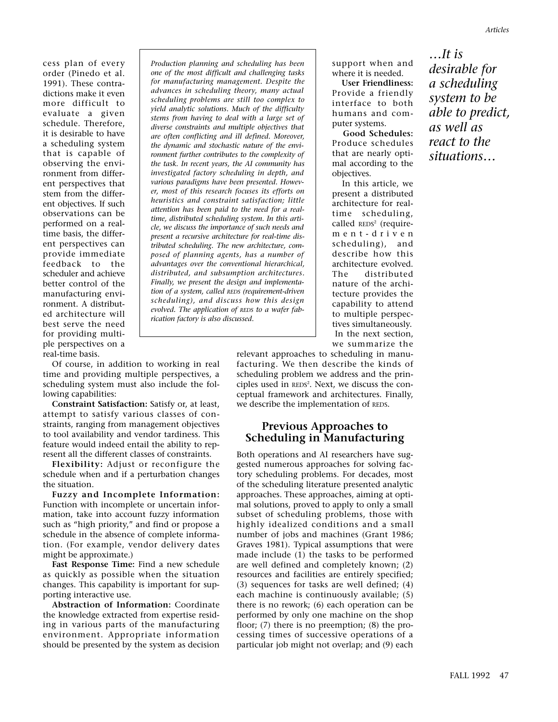cess plan of every order (Pinedo et al. 1991). These contradictions make it even more difficult to evaluate a given schedule. Therefore, it is desirable to have a scheduling system that is capable of observing the environment from different perspectives that stem from the different objectives. If such observations can be performed on a realtime basis, the different perspectives can provide immediate feedback to the scheduler and achieve better control of the manufacturing environment. A distributed architecture will best serve the need for providing multiple perspectives on a real-time basis.

*Production planning and scheduling has been one of the most difficult and challenging tasks for manufacturing management. Despite the advances in scheduling theory, many actual scheduling problems are still too complex to yield analytic solutions. Much of the difficulty stems from having to deal with a large set of diverse constraints and multiple objectives that are often conflicting and ill defined. Moreover, the dynamic and stochastic nature of the environment further contributes to the complexity of the task. In recent years, the AI community has investigated factory scheduling in depth, and various paradigms have been presented. However, most of this research focuses its efforts on heuristics and constraint satisfaction; little attention has been paid to the need for a realtime, distributed scheduling system. In this article, we discuss the importance of such needs and present a recursive architecture for real-time distributed scheduling. The new architecture, composed of planning agents, has a number of advantages over the conventional hierarchical, distributed, and subsumption architectures. Finally, we present the design and implementation of a system, called REDS (requirement-driven scheduling), and discuss how this design evolved. The application of REDS to a wafer fabrication factory is also discussed.*

support when and where it is needed.

**User Friendliness:** Provide a friendly interface to both humans and computer systems.

**Good Schedules:** Produce schedules that are nearly optimal according to the objectives.

In this article, we present a distributed architecture for realtime scheduling, called  $REDS<sup>2</sup>$  (requirement-driven scheduling), and describe how this architecture evolved. The distributed nature of the architecture provides the capability to attend to multiple perspectives simultaneously. In the next section, we summarize the

*…It is desirable for a scheduling system to be able to predict, as well as react to the situations…*

Of course, in addition to working in real time and providing multiple perspectives, a scheduling system must also include the following capabilities:

**Constraint Satisfaction:** Satisfy or, at least, attempt to satisfy various classes of constraints, ranging from management objectives to tool availability and vendor tardiness. This feature would indeed entail the ability to represent all the different classes of constraints.

**Flexibility:** Adjust or reconfigure the schedule when and if a perturbation changes the situation.

**Fuzzy and Incomplete Information:** Function with incomplete or uncertain information, take into account fuzzy information such as "high priority," and find or propose a schedule in the absence of complete information. (For example, vendor delivery dates might be approximate.)

**Fast Response Time:** Find a new schedule as quickly as possible when the situation changes. This capability is important for supporting interactive use.

**Abstraction of Information:** Coordinate the knowledge extracted from expertise residing in various parts of the manufacturing environment. Appropriate information should be presented by the system as decision

relevant approaches to scheduling in manufacturing. We then describe the kinds of scheduling problem we address and the principles used in REDS<sup>2</sup>. Next, we discuss the conceptual framework and architectures. Finally, we describe the implementation of REDS.

# **Previous Approaches to Scheduling in Manufacturing**

Both operations and AI researchers have suggested numerous approaches for solving factory scheduling problems. For decades, most of the scheduling literature presented analytic approaches. These approaches, aiming at optimal solutions, proved to apply to only a small subset of scheduling problems, those with highly idealized conditions and a small number of jobs and machines (Grant 1986; Graves 1981). Typical assumptions that were made include (1) the tasks to be performed are well defined and completely known; (2) resources and facilities are entirely specified; (3) sequences for tasks are well defined; (4) each machine is continuously available; (5) there is no rework; (6) each operation can be performed by only one machine on the shop floor; (7) there is no preemption; (8) the processing times of successive operations of a particular job might not overlap; and (9) each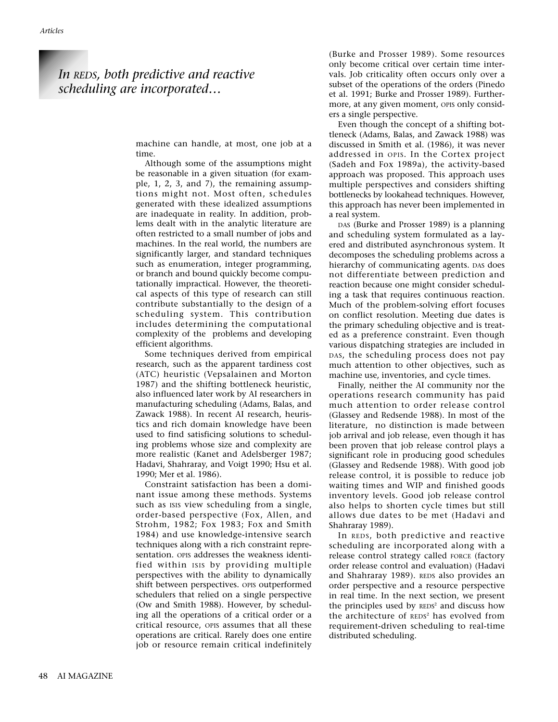# *In REDS, both predictive and reactive scheduling are incorporated…*

machine can handle, at most, one job at a time.

Although some of the assumptions might be reasonable in a given situation (for example, 1, 2, 3, and 7), the remaining assumptions might not. Most often, schedules generated with these idealized assumptions are inadequate in reality. In addition, problems dealt with in the analytic literature are often restricted to a small number of jobs and machines. In the real world, the numbers are significantly larger, and standard techniques such as enumeration, integer programming, or branch and bound quickly become computationally impractical. However, the theoretical aspects of this type of research can still contribute substantially to the design of a scheduling system. This contribution includes determining the computational complexity of the problems and developing efficient algorithms.

Some techniques derived from empirical research, such as the apparent tardiness cost (ATC) heuristic (Vepsalainen and Morton 1987) and the shifting bottleneck heuristic, also influenced later work by AI researchers in manufacturing scheduling (Adams, Balas, and Zawack 1988). In recent AI research, heuristics and rich domain knowledge have been used to find satisficing solutions to scheduling problems whose size and complexity are more realistic (Kanet and Adelsberger 1987; Hadavi, Shahraray, and Voigt 1990; Hsu et al. 1990; Mer et al. 1986).

Constraint satisfaction has been a dominant issue among these methods. Systems such as ISIS view scheduling from a single, order-based perspective (Fox, Allen, and Strohm, 1982; Fox 1983; Fox and Smith 1984) and use knowledge-intensive search techniques along with a rich constraint representation. OPIS addresses the weakness identified within ISIS by providing multiple perspectives with the ability to dynamically shift between perspectives. OPIS outperformed schedulers that relied on a single perspective (Ow and Smith 1988). However, by scheduling all the operations of a critical order or a critical resource, OPIS assumes that all these operations are critical. Rarely does one entire job or resource remain critical indefinitely

(Burke and Prosser 1989). Some resources only become critical over certain time intervals. Job criticality often occurs only over a subset of the operations of the orders (Pinedo et al. 1991; Burke and Prosser 1989). Furthermore, at any given moment, OPIS only considers a single perspective.

Even though the concept of a shifting bottleneck (Adams, Balas, and Zawack 1988) was discussed in Smith et al. (1986), it was never addressed in OPIS. In the Cortex project (Sadeh and Fox 1989a), the activity-based approach was proposed. This approach uses multiple perspectives and considers shifting bottlenecks by lookahead techniques. However, this approach has never been implemented in a real system.

DAS (Burke and Prosser 1989) is a planning and scheduling system formulated as a layered and distributed asynchronous system. It decomposes the scheduling problems across a hierarchy of communicating agents. DAS does not differentiate between prediction and reaction because one might consider scheduling a task that requires continuous reaction. Much of the problem-solving effort focuses on conflict resolution. Meeting due dates is the primary scheduling objective and is treated as a preference constraint. Even though various dispatching strategies are included in DAS, the scheduling process does not pay much attention to other objectives, such as machine use, inventories, and cycle times.

Finally, neither the AI community nor the operations research community has paid much attention to order release control (Glassey and Redsende 1988). In most of the literature, no distinction is made between job arrival and job release, even though it has been proven that job release control plays a significant role in producing good schedules (Glassey and Redsende 1988). With good job release control, it is possible to reduce job waiting times and WIP and finished goods inventory levels. Good job release control also helps to shorten cycle times but still allows due dates to be met (Hadavi and Shahraray 1989).

In REDS, both predictive and reactive scheduling are incorporated along with a release control strategy called FORCE (factory order release control and evaluation) (Hadavi and Shahraray 1989). REDS also provides an order perspective and a resource perspective in real time. In the next section, we present the principles used by  $REDS<sup>2</sup>$  and discuss how the architecture of REDS<sup>2</sup> has evolved from requirement-driven scheduling to real-time distributed scheduling.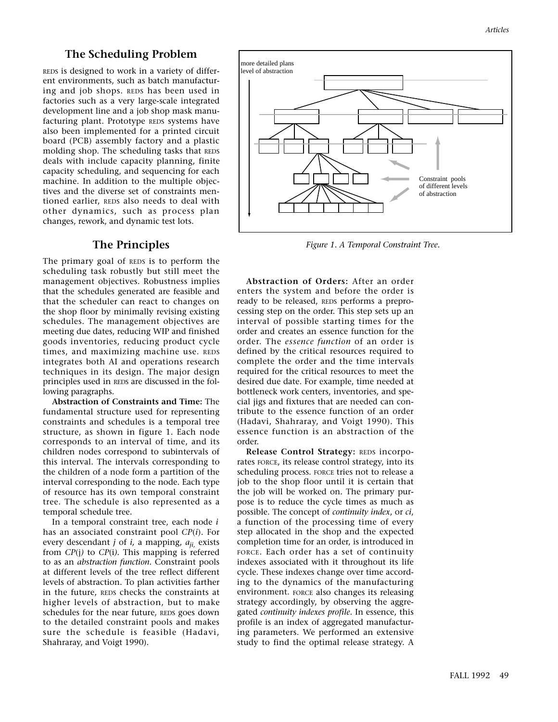# **The Scheduling Problem**

REDS is designed to work in a variety of different environments, such as batch manufacturing and job shops. REDS has been used in factories such as a very large-scale integrated development line and a job shop mask manufacturing plant. Prototype REDS systems have also been implemented for a printed circuit board (PCB) assembly factory and a plastic molding shop. The scheduling tasks that REDS deals with include capacity planning, finite capacity scheduling, and sequencing for each machine. In addition to the multiple objectives and the diverse set of constraints mentioned earlier, REDS also needs to deal with other dynamics, such as process plan changes, rework, and dynamic test lots.

# **The Principles**

The primary goal of REDS is to perform the scheduling task robustly but still meet the management objectives. Robustness implies that the schedules generated are feasible and that the scheduler can react to changes on the shop floor by minimally revising existing schedules. The management objectives are meeting due dates, reducing WIP and finished goods inventories, reducing product cycle times, and maximizing machine use. REDS integrates both AI and operations research techniques in its design. The major design principles used in REDS are discussed in the following paragraphs.

**Abstraction of Constraints and Time:** The fundamental structure used for representing constraints and schedules is a temporal tree structure, as shown in figure 1. Each node corresponds to an interval of time, and its children nodes correspond to subintervals of this interval. The intervals corresponding to the children of a node form a partition of the interval corresponding to the node. Each type of resource has its own temporal constraint tree. The schedule is also represented as a temporal schedule tree.

In a temporal constraint tree, each node *i* has an associated constraint pool *CP*(*i*). For every descendant *j* of *i,* a mapping, *aji,* exists from *CP*(j*)* to *CP*(i*).* This mapping is referred to as an *abstraction function.* Constraint pools at different levels of the tree reflect different levels of abstraction. To plan activities farther in the future, REDS checks the constraints at higher levels of abstraction, but to make schedules for the near future, REDS goes down to the detailed constraint pools and makes sure the schedule is feasible (Hadavi, Shahraray, and Voigt 1990).



*Figure 1. A Temporal Constraint Tree.*

**Abstraction of Orders:** After an order enters the system and before the order is ready to be released, REDS performs a preprocessing step on the order. This step sets up an interval of possible starting times for the order and creates an essence function for the order. The *essence function* of an order is defined by the critical resources required to complete the order and the time intervals required for the critical resources to meet the desired due date. For example, time needed at bottleneck work centers, inventories, and special jigs and fixtures that are needed can contribute to the essence function of an order (Hadavi, Shahraray, and Voigt 1990). This essence function is an abstraction of the order.

**Release Control Strategy:** REDS incorporates FORCE, its release control strategy, into its scheduling process. FORCE tries not to release a job to the shop floor until it is certain that the job will be worked on. The primary purpose is to reduce the cycle times as much as possible. The concept of *continuity index*, or *ci*, a function of the processing time of every step allocated in the shop and the expected completion time for an order, is introduced in FORCE. Each order has a set of continuity indexes associated with it throughout its life cycle. These indexes change over time according to the dynamics of the manufacturing environment. FORCE also changes its releasing strategy accordingly, by observing the aggregated *continuity indexes profile*. In essence, this profile is an index of aggregated manufacturing parameters. We performed an extensive study to find the optimal release strategy. A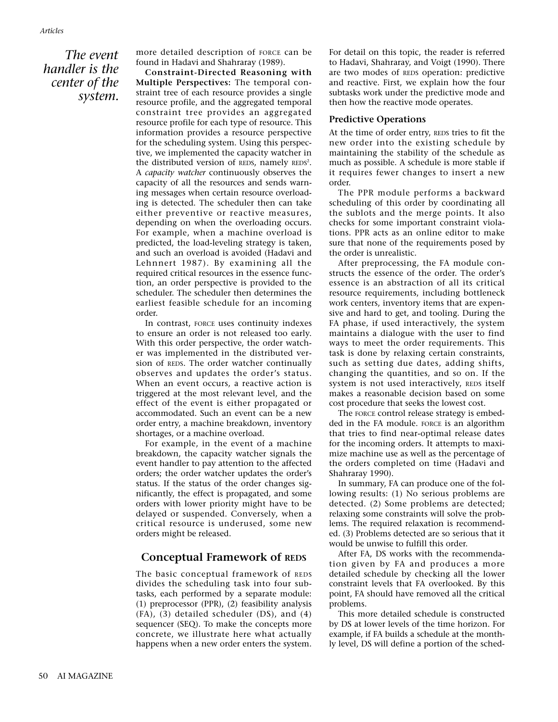#### *Articles*

*The event handler is the center of the system.*

more detailed description of FORCE can be found in Hadavi and Shahraray (1989).

**Constraint-Directed Reasoning with Multiple Perspectives:** The temporal constraint tree of each resource provides a single resource profile, and the aggregated temporal constraint tree provides an aggregated resource profile for each type of resource. This information provides a resource perspective for the scheduling system. Using this perspective, we implemented the capacity watcher in the distributed version of REDS, namely REDS<sup>2</sup>. A *capacity watcher* continuously observes the capacity of all the resources and sends warning messages when certain resource overloading is detected. The scheduler then can take either preventive or reactive measures, depending on when the overloading occurs. For example, when a machine overload is predicted, the load-leveling strategy is taken, and such an overload is avoided (Hadavi and Lehnnert 1987). By examining all the required critical resources in the essence function, an order perspective is provided to the scheduler. The scheduler then determines the earliest feasible schedule for an incoming order.

In contrast, FORCE uses continuity indexes to ensure an order is not released too early. With this order perspective, the order watcher was implemented in the distributed version of REDS. The order watcher continually observes and updates the order's status. When an event occurs, a reactive action is triggered at the most relevant level, and the effect of the event is either propagated or accommodated. Such an event can be a new order entry, a machine breakdown, inventory shortages, or a machine overload.

For example, in the event of a machine breakdown, the capacity watcher signals the event handler to pay attention to the affected orders; the order watcher updates the order's status. If the status of the order changes significantly, the effect is propagated, and some orders with lower priority might have to be delayed or suspended. Conversely, when a critical resource is underused, some new orders might be released.

# **Conceptual Framework of REDS**

The basic conceptual framework of REDS divides the scheduling task into four subtasks, each performed by a separate module: (1) preprocessor (PPR), (2) feasibility analysis (FA), (3) detailed scheduler (DS), and (4) sequencer (SEQ). To make the concepts more concrete, we illustrate here what actually happens when a new order enters the system.

For detail on this topic, the reader is referred to Hadavi, Shahraray, and Voigt (1990). There are two modes of REDS operation: predictive and reactive. First, we explain how the four subtasks work under the predictive mode and then how the reactive mode operates.

#### **Predictive Operations**

At the time of order entry, REDS tries to fit the new order into the existing schedule by maintaining the stability of the schedule as much as possible. A schedule is more stable if it requires fewer changes to insert a new order.

The PPR module performs a backward scheduling of this order by coordinating all the sublots and the merge points. It also checks for some important constraint violations. PPR acts as an online editor to make sure that none of the requirements posed by the order is unrealistic.

After preprocessing, the FA module constructs the essence of the order. The order's essence is an abstraction of all its critical resource requirements, including bottleneck work centers, inventory items that are expensive and hard to get, and tooling. During the FA phase, if used interactively, the system maintains a dialogue with the user to find ways to meet the order requirements. This task is done by relaxing certain constraints, such as setting due dates, adding shifts, changing the quantities, and so on. If the system is not used interactively, REDS itself makes a reasonable decision based on some cost procedure that seeks the lowest cost.

The FORCE control release strategy is embedded in the FA module. FORCE is an algorithm that tries to find near-optimal release dates for the incoming orders. It attempts to maximize machine use as well as the percentage of the orders completed on time (Hadavi and Shahraray 1990).

In summary, FA can produce one of the following results: (1) No serious problems are detected. (2) Some problems are detected; relaxing some constraints will solve the problems. The required relaxation is recommended. (3) Problems detected are so serious that it would be unwise to fulfill this order.

After FA, DS works with the recommendation given by FA and produces a more detailed schedule by checking all the lower constraint levels that FA overlooked. By this point, FA should have removed all the critical problems.

This more detailed schedule is constructed by DS at lower levels of the time horizon. For example, if FA builds a schedule at the monthly level, DS will define a portion of the sched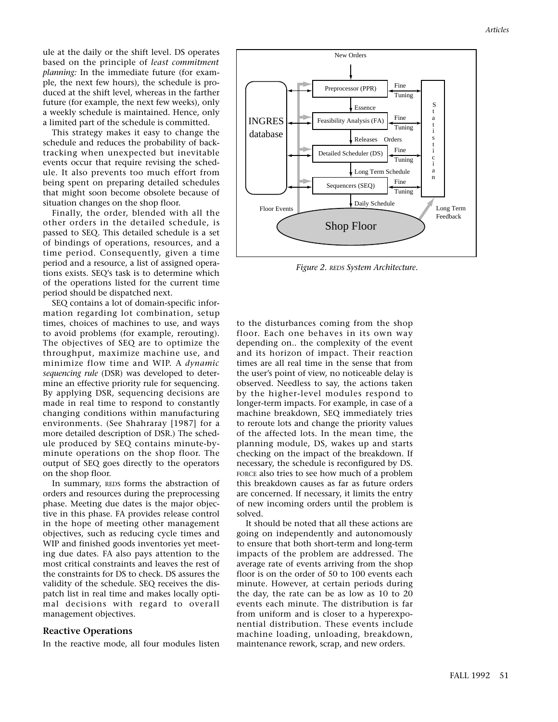ule at the daily or the shift level. DS operates based on the principle of *least commitment planning:* In the immediate future (for example, the next few hours), the schedule is produced at the shift level, whereas in the farther future (for example, the next few weeks), only a weekly schedule is maintained. Hence, only a limited part of the schedule is committed.

This strategy makes it easy to change the schedule and reduces the probability of backtracking when unexpected but inevitable events occur that require revising the schedule. It also prevents too much effort from being spent on preparing detailed schedules that might soon become obsolete because of situation changes on the shop floor.

Finally, the order, blended with all the other orders in the detailed schedule, is passed to SEQ. This detailed schedule is a set of bindings of operations, resources, and a time period. Consequently, given a time period and a resource, a list of assigned operations exists. SEQ's task is to determine which of the operations listed for the current time period should be dispatched next.

SEQ contains a lot of domain-specific information regarding lot combination, setup times, choices of machines to use, and ways to avoid problems (for example, rerouting). The objectives of SEQ are to optimize the throughput, maximize machine use, and minimize flow time and WIP. A *dynamic sequencing rule* (DSR) was developed to determine an effective priority rule for sequencing. By applying DSR, sequencing decisions are made in real time to respond to constantly changing conditions within manufacturing environments. (See Shahraray [1987] for a more detailed description of DSR.) The schedule produced by SEQ contains minute-byminute operations on the shop floor. The output of SEQ goes directly to the operators on the shop floor.

In summary, REDS forms the abstraction of orders and resources during the preprocessing phase. Meeting due dates is the major objective in this phase. FA provides release control in the hope of meeting other management objectives, such as reducing cycle times and WIP and finished goods inventories yet meeting due dates. FA also pays attention to the most critical constraints and leaves the rest of the constraints for DS to check. DS assures the validity of the schedule. SEQ receives the dispatch list in real time and makes locally optimal decisions with regard to overall management objectives.

#### **Reactive Operations**

In the reactive mode, all four modules listen



*Figure 2. REDS System Architecture.*

to the disturbances coming from the shop floor. Each one behaves in its own way depending on.. the complexity of the event and its horizon of impact. Their reaction times are all real time in the sense that from the user's point of view, no noticeable delay is observed. Needless to say, the actions taken by the higher-level modules respond to longer-term impacts. For example, in case of a machine breakdown, SEQ immediately tries to reroute lots and change the priority values of the affected lots. In the mean time, the planning module, DS, wakes up and starts checking on the impact of the breakdown. If necessary, the schedule is reconfigured by DS. FORCE also tries to see how much of a problem this breakdown causes as far as future orders are concerned. If necessary, it limits the entry of new incoming orders until the problem is solved.

It should be noted that all these actions are going on independently and autonomously to ensure that both short-term and long-term impacts of the problem are addressed. The average rate of events arriving from the shop floor is on the order of 50 to 100 events each minute. However, at certain periods during the day, the rate can be as low as 10 to 20 events each minute. The distribution is far from uniform and is closer to a hyperexponential distribution. These events include machine loading, unloading, breakdown, maintenance rework, scrap, and new orders.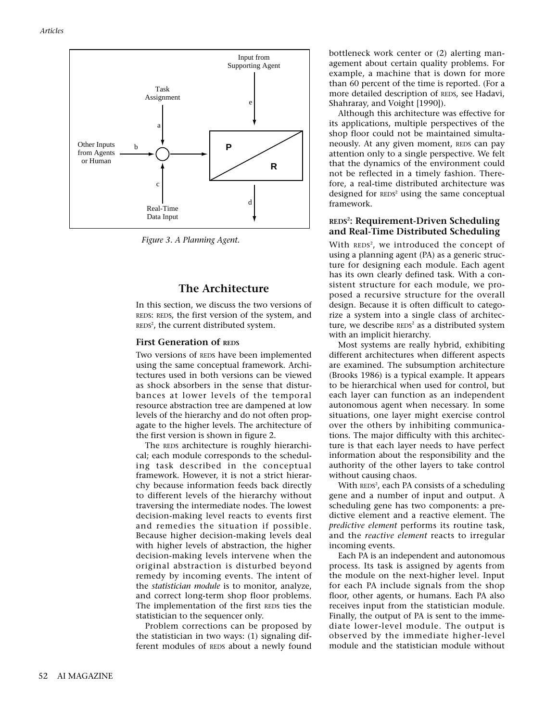

*Figure 3. A Planning Agent.*

# **The Architecture**

In this section, we discuss the two versions of REDS: REDS, the first version of the system, and  $REDS<sup>2</sup>$ , the current distributed system.

#### **First Generation of REDS**

Two versions of REDS have been implemented using the same conceptual framework. Architectures used in both versions can be viewed as shock absorbers in the sense that disturbances at lower levels of the temporal resource abstraction tree are dampened at low levels of the hierarchy and do not often propagate to the higher levels. The architecture of the first version is shown in figure 2.

The REDS architecture is roughly hierarchical; each module corresponds to the scheduling task described in the conceptual framework. However, it is not a strict hierarchy because information feeds back directly to different levels of the hierarchy without traversing the intermediate nodes. The lowest decision-making level reacts to events first and remedies the situation if possible. Because higher decision-making levels deal with higher levels of abstraction, the higher decision-making levels intervene when the original abstraction is disturbed beyond remedy by incoming events. The intent of the *statistician module* is to monitor, analyze, and correct long-term shop floor problems. The implementation of the first REDS ties the statistician to the sequencer only.

Problem corrections can be proposed by the statistician in two ways: (1) signaling different modules of REDS about a newly found bottleneck work center or (2) alerting management about certain quality problems. For example, a machine that is down for more than 60 percent of the time is reported. (For a more detailed description of REDS, see Hadavi, Shahraray, and Voight [1990]).

Although this architecture was effective for its applications, multiple perspectives of the shop floor could not be maintained simultaneously. At any given moment, REDS can pay attention only to a single perspective. We felt that the dynamics of the environment could not be reflected in a timely fashion. Therefore, a real-time distributed architecture was designed for REDS<sup>2</sup> using the same conceptual framework.

#### **REDS2 : Requirement-Driven Scheduling and Real-Time Distributed Scheduling**

With <code>REDS2</code>, we introduced the concept of using a planning agent (PA) as a generic structure for designing each module. Each agent has its own clearly defined task. With a consistent structure for each module, we proposed a recursive structure for the overall design. Because it is often difficult to categorize a system into a single class of architecture, we describe REDS<sup>2</sup> as a distributed system with an implicit hierarchy.

Most systems are really hybrid, exhibiting different architectures when different aspects are examined. The subsumption architecture (Brooks 1986) is a typical example. It appears to be hierarchical when used for control, but each layer can function as an independent autonomous agent when necessary. In some situations, one layer might exercise control over the others by inhibiting communications. The major difficulty with this architecture is that each layer needs to have perfect information about the responsibility and the authority of the other layers to take control without causing chaos.

With <code>REDS2</code>, each PA consists of a scheduling gene and a number of input and output. A scheduling gene has two components: a predictive element and a reactive element. The *predictive element* performs its routine task, and the *reactive element* reacts to irregular incoming events.

Each PA is an independent and autonomous process. Its task is assigned by agents from the module on the next-higher level. Input for each PA include signals from the shop floor, other agents, or humans. Each PA also receives input from the statistician module. Finally, the output of PA is sent to the immediate lower-level module. The output is observed by the immediate higher-level module and the statistician module without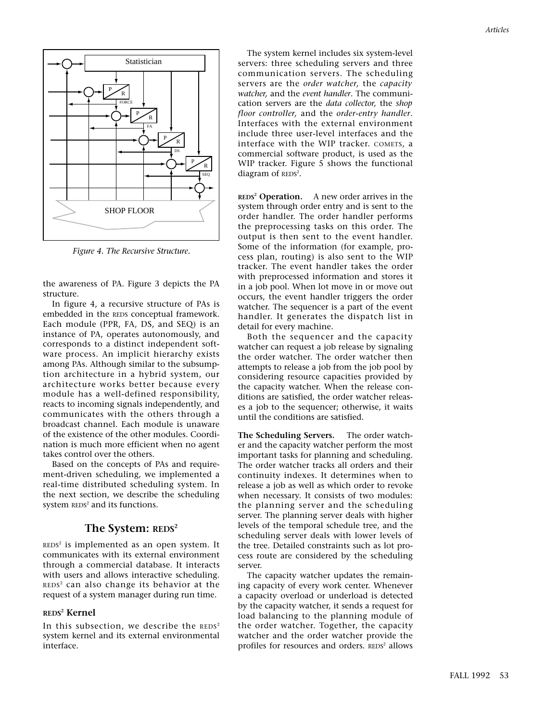

*Figure 4. The Recursive Structure.*

the awareness of PA. Figure 3 depicts the PA structure.

In figure 4, a recursive structure of PAs is embedded in the REDS conceptual framework. Each module (PPR, FA, DS, and SEQ) is an instance of PA, operates autonomously, and corresponds to a distinct independent software process. An implicit hierarchy exists among PAs. Although similar to the subsumption architecture in a hybrid system, our architecture works better because every module has a well-defined responsibility, reacts to incoming signals independently, and communicates with the others through a broadcast channel. Each module is unaware of the existence of the other modules. Coordination is much more efficient when no agent takes control over the others.

Based on the concepts of PAs and requirement-driven scheduling, we implemented a real-time distributed scheduling system. In the next section, we describe the scheduling system REDS<sup>2</sup> and its functions.

# The System: REDS<sup>2</sup>

 $REDS<sup>2</sup>$  is implemented as an open system. It communicates with its external environment through a commercial database. It interacts with users and allows interactive scheduling. REDS<sup>2</sup> can also change its behavior at the request of a system manager during run time.

#### **REDS2 Kernel**

In this subsection, we describe the  $REDS<sup>2</sup>$ system kernel and its external environmental interface.

The system kernel includes six system-level servers: three scheduling servers and three communication servers. The scheduling servers are the *order watcher,* the *capacity watcher,* and the *event handler*. The communication servers are the *data collector,* the *shop floor controller,* and the *order-entry handler*. Interfaces with the external environment include three user-level interfaces and the interface with the WIP tracker. COMETS, a commercial software product, is used as the WIP tracker. Figure 5 shows the functional diagram of REDS<sup>2</sup>.

**REDS2 Operation.** A new order arrives in the system through order entry and is sent to the order handler. The order handler performs the preprocessing tasks on this order. The output is then sent to the event handler. Some of the information (for example, process plan, routing) is also sent to the WIP tracker. The event handler takes the order with preprocessed information and stores it in a job pool. When lot move in or move out occurs, the event handler triggers the order watcher. The sequencer is a part of the event handler. It generates the dispatch list in detail for every machine.

Both the sequencer and the capacity watcher can request a job release by signaling the order watcher. The order watcher then attempts to release a job from the job pool by considering resource capacities provided by the capacity watcher. When the release conditions are satisfied, the order watcher releases a job to the sequencer; otherwise, it waits until the conditions are satisfied.

**The Scheduling Servers.** The order watcher and the capacity watcher perform the most important tasks for planning and scheduling. The order watcher tracks all orders and their continuity indexes. It determines when to release a job as well as which order to revoke when necessary. It consists of two modules: the planning server and the scheduling server. The planning server deals with higher levels of the temporal schedule tree, and the scheduling server deals with lower levels of the tree. Detailed constraints such as lot process route are considered by the scheduling server.

The capacity watcher updates the remaining capacity of every work center. Whenever a capacity overload or underload is detected by the capacity watcher, it sends a request for load balancing to the planning module of the order watcher. Together, the capacity watcher and the order watcher provide the profiles for resources and orders. REDS<sup>2</sup> allows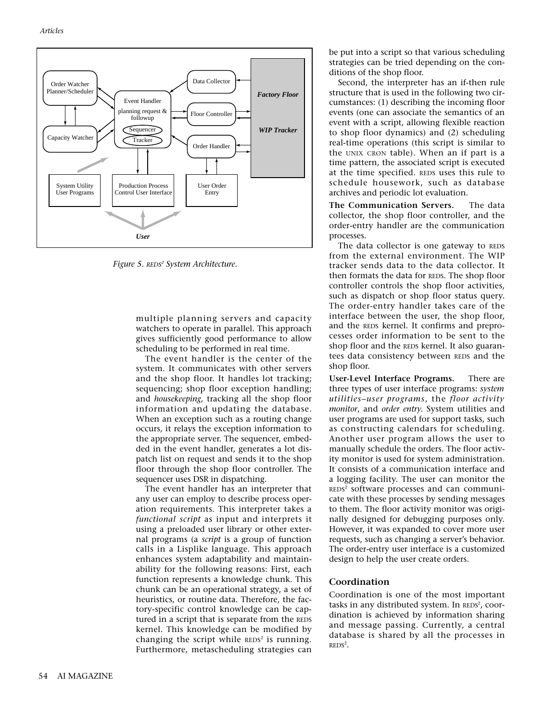

*Figure 5. REDS2 System Architecture.*

multiple planning servers and capacity watchers to operate in parallel. This approach gives sufficiently good performance to allow scheduling to be performed in real time.

The event handler is the center of the system. It communicates with other servers and the shop floor. It handles lot tracking; sequencing; shop floor exception handling; and *housekeeping,* tracking all the shop floor information and updating the database. When an exception such as a routing change occurs, it relays the exception information to the appropriate server. The sequencer, embedded in the event handler, generates a lot dispatch list on request and sends it to the shop floor through the shop floor controller. The sequencer uses DSR in dispatching.

The event handler has an interpreter that any user can employ to describe process operation requirements. This interpreter takes a *functional script* as input and interprets it using a preloaded user library or other external programs (a *script* is a group of function calls in a Lisplike language. This approach enhances system adaptability and maintainability for the following reasons: First, each function represents a knowledge chunk. This chunk can be an operational strategy, a set of heuristics, or routine data. Therefore, the factory-specific control knowledge can be captured in a script that is separate from the REDS kernel. This knowledge can be modified by changing the script while  $REDS<sup>2</sup>$  is running. Furthermore, metascheduling strategies can

be put into a script so that various scheduling strategies can be tried depending on the conditions of the shop floor.

Second, the interpreter has an if-then rule structure that is used in the following two circumstances: (1) describing the incoming floor events (one can associate the semantics of an event with a script, allowing flexible reaction to shop floor dynamics) and (2) scheduling real-time operations (this script is similar to the UNIX CRON table). When an if part is a time pattern, the associated script is executed at the time specified. REDS uses this rule to schedule housework, such as database archives and periodic lot evaluation.

**The Communication Servers.** The data collector, the shop floor controller, and the order-entry handler are the communication processes.

The data collector is one gateway to REDS from the external environment. The WIP tracker sends data to the data collector. It then formats the data for REDS. The shop floor controller controls the shop floor activities, such as dispatch or shop floor status query. The order-entry handler takes care of the interface between the user, the shop floor, and the REDS kernel. It confirms and preprocesses order information to be sent to the shop floor and the REDS kernel. It also guarantees data consistency between REDS and the shop floor.

**User-Level Interface Programs.** There are three types of user interface programs: *system utilities–user programs*, the *floor activity monitor*, and *order entry.* System utilities and user programs are used for support tasks, such as constructing calendars for scheduling. Another user program allows the user to manually schedule the orders. The floor activity monitor is used for system administration. It consists of a communication interface and a logging facility. The user can monitor the REDS<sup>2</sup> software processes and can communicate with these processes by sending messages to them. The floor activity monitor was originally designed for debugging purposes only. However, it was expanded to cover more user requests, such as changing a server's behavior. The order-entry user interface is a customized design to help the user create orders.

#### **Coordination**

Coordination is one of the most important tasks in any distributed system. In REDS<sup>2</sup>, coordination is achieved by information sharing and message passing. Currently, a central database is shared by all the processes in  $REDS<sup>2</sup>$ .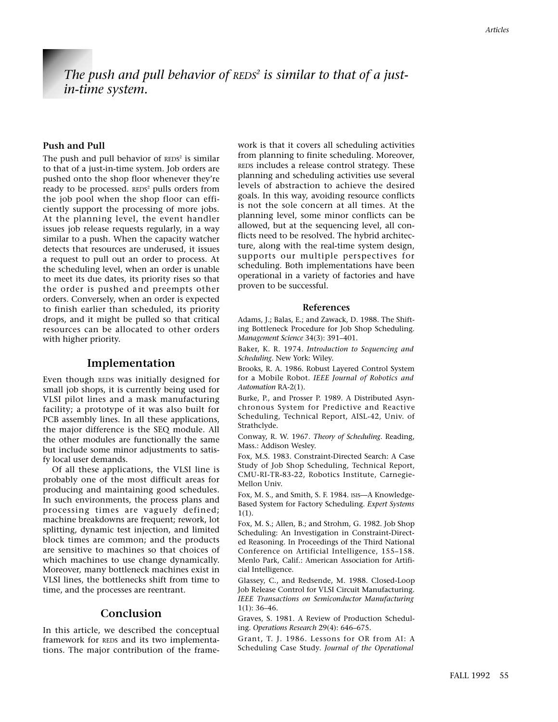# *The push and pull behavior of REDS2 is similar to that of a justin-time system.*

## **Push and Pull**

The push and pull behavior of  $REDS<sup>2</sup>$  is similar to that of a just-in-time system. Job orders are pushed onto the shop floor whenever they're ready to be processed. REDS<sup>2</sup> pulls orders from the job pool when the shop floor can efficiently support the processing of more jobs. At the planning level, the event handler issues job release requests regularly, in a way similar to a push. When the capacity watcher detects that resources are underused, it issues a request to pull out an order to process. At the scheduling level, when an order is unable to meet its due dates, its priority rises so that the order is pushed and preempts other orders. Conversely, when an order is expected to finish earlier than scheduled, its priority drops, and it might be pulled so that critical resources can be allocated to other orders with higher priority.

#### **Implementation**

Even though REDS was initially designed for small job shops, it is currently being used for VLSI pilot lines and a mask manufacturing facility; a prototype of it was also built for PCB assembly lines. In all these applications, the major difference is the SEQ module. All the other modules are functionally the same but include some minor adjustments to satisfy local user demands.

Of all these applications, the VLSI line is probably one of the most difficult areas for producing and maintaining good schedules. In such environments, the process plans and processing times are vaguely defined; machine breakdowns are frequent; rework, lot splitting, dynamic test injection, and limited block times are common; and the products are sensitive to machines so that choices of which machines to use change dynamically. Moreover, many bottleneck machines exist in VLSI lines, the bottlenecks shift from time to time, and the processes are reentrant.

## **Conclusion**

In this article, we described the conceptual framework for REDS and its two implementations. The major contribution of the frame-

work is that it covers all scheduling activities from planning to finite scheduling. Moreover, REDS includes a release control strategy. These planning and scheduling activities use several levels of abstraction to achieve the desired goals. In this way, avoiding resource conflicts is not the sole concern at all times. At the planning level, some minor conflicts can be allowed, but at the sequencing level, all conflicts need to be resolved. The hybrid architecture, along with the real-time system design, supports our multiple perspectives for scheduling. Both implementations have been operational in a variety of factories and have proven to be successful.

#### **References**

Adams, J.; Balas, E.; and Zawack, D. 1988. The Shifting Bottleneck Procedure for Job Shop Scheduling. *Management Science* 34(3): 391–401.

Baker, K. R. 1974. *Introduction to Sequencing and Scheduling.* New York: Wiley.

Brooks, R. A. 1986. Robust Layered Control System for a Mobile Robot. *IEEE Journal of Robotics and Automation* RA-2(1).

Burke, P., and Prosser P. 1989. A Distributed Asynchronous System for Predictive and Reactive Scheduling, Technical Report, AISL-42, Univ. of Strathclyde.

Conway, R. W. 1967. *Theory of Scheduling*. Reading, Mass.: Addison Wesley.

Fox, M.S. 1983. Constraint-Directed Search: A Case Study of Job Shop Scheduling, Technical Report, CMU-RI-TR-83-22, Robotics Institute, Carnegie-Mellon Univ.

Fox, M. S., and Smith, S. F. 1984. ISIS—A Knowledge-Based System for Factory Scheduling. *Expert Systems* 1(1).

Fox, M. S.; Allen, B.; and Strohm, G. 1982. Job Shop Scheduling: An Investigation in Constraint-Directed Reasoning. In Proceedings of the Third National Conference on Artificial Intelligence, 155–158. Menlo Park, Calif.: American Association for Artificial Intelligence.

Glassey, C., and Redsende, M. 1988. Closed-Loop Job Release Control for VLSI Circuit Manufacturing. *IEEE Transactions on Semiconductor Manufacturing* 1(1): 36–46.

Graves, S. 1981. A Review of Production Scheduling. *Operations Research* 29(4): 646–675.

Grant, T. J. 1986. Lessons for OR from AI: A Scheduling Case Study. *Journal of the Operational*